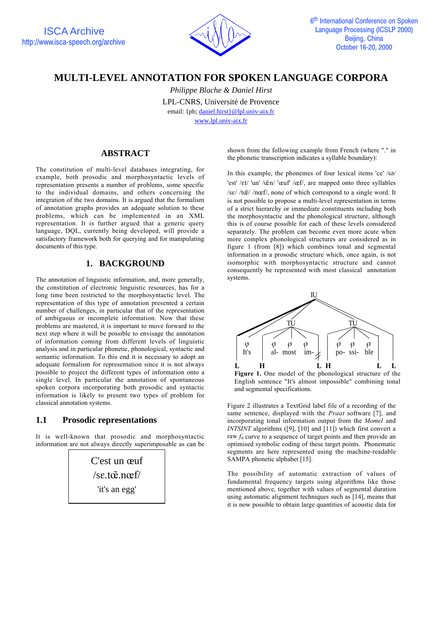

# **MULTI-LEVEL ANNOTATION FOR SPOKEN LANGUAGE CORPORA**

*Philippe Blache & Daniel Hirst* LPL-CNRS, Université de Provence email: {pb; daniel.hirst}@lpl.univ-aix.fr www.lpl.univ-aix.fr

# **ABSTRACT**

The constitution of multi-level databases integrating, for example, both prosodic and morphosyntactic levels of representation presents a number of problems, some specific to the individual domains, and others concerning the integration of the two domains. It is argued that the formalism of annotation graphs provides an adequate solution to these problems, which can be implemented in an XML representation. It is further argued that a generic query language, DQL, currently being developed, will provide a satisfactory framework both for querying and for manipulating documents of this type.

## **1. BACKGROUND**

The annotation of linguistic information, and, more generally, the constitution of electronic linguistic resources, has for a long time been restricted to the morphosyntactic level. The representation of this type of annotation presented a certain number of challenges, in particular that of the representation of ambiguous or incomplete information. Now that these problems are mastered, it is important to move forward to the next step where it will be possible to envisage the annotation of information coming from different levels of linguistic analysis and in particular phonetic, phonological, syntactic and semantic information. To this end it is necessary to adopt an adequate formalism for representation since it is not always possible to project the different types of information onto a single level. In particular the annotation of spontaneous spoken corpora incorporating both prosodic and syntactic information is likely to present two types of problem for classical annotation systems.

### **1.1 Prosodic representations**

It is well-known that prosodic and morphosyntactic information are not always directly superimposable as can be

> C'est un œuf /sE.tø).nøf/ 'it's an egg'

shown from the following example from French (where "." in the phonetic transcription indicates a syllable boundary):

In this example, the phonemes of four lexical items 'ce'  $\sqrt{s}$ ) 'est' /ɛt/ 'un' /œ̃n/ 'œuf' /œf/, are mapped onto three syllables  $\sqrt{\sec^2(\pi \tilde{\mathbf{c}})}$  /n $\cot^2$ , none of which correspond to a single word. It is not possible to propose a multi-level representation in terms of a strict hierarchy or immediate constituents including both the morphosyntactic and the phonological structure, although this is of course possible for each of these levels considered separately. The problem can become even more acute when more complex phonological structures are considered as in figure 1 (from [8]) which combines tonal and segmental information in a prosodic structure which, once again, is not isomorphic with morphosyntactic structure and cannot consequently be represented with most classical annotation systems.



**Figure 1.** One model of the phonological structure of the English sentence "It's almost impossible" combining tonal and segmental specifications.

Figure 2 illustrates a TextGrid label file of a recording of the same sentence, displayed with the *Praat* software [7], and incorporating tonal information output from the *Momel* and *INTSINT* algorithms ([9], [10] and [11]) which first convert a raw  $f_0$  curve to a sequence of target points and then provide an optimised symbolic coding of these target points. Phonematic segments are here represented using the machine-readable SAMPA phonetic alphabet [15].

The possibility of automatic extraction of values of fundamental frequency targets using algorithms like those mentioned above, together with values of segmental duration using automatic alignment techniques such as [14], means that it is now possible to obtain large quantities of acoustic data for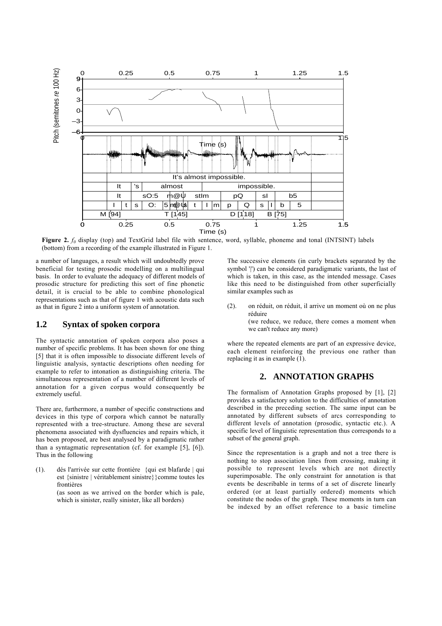

**Figure 2.**  $f_0$  display (top) and TextGrid label file with sentence, word, syllable, phoneme and tonal (INTSINT) labels (bottom) from a recording of the example illustrated in Figure 1.

a number of languages, a result which will undoubtedly prove beneficial for testing prosodic modelling on a multilingual basis. In order to evaluate the adequacy of different models of prosodic structure for predicting this sort of fine phonetic detail, it is crucial to be able to combine phonological representations such as that of figure 1 with acoustic data such as that in figure 2 into a uniform system of annotation.

### **1.2 Syntax of spoken corpora**

The syntactic annotation of spoken corpora also poses a number of specific problems. It has been shown for one thing [5] that it is often impossible to dissociate different levels of linguistic analysis, syntactic descriptions often needing for example to refer to intonation as distinguishing criteria. The simultaneous representation of a number of different levels of annotation for a given corpus would consequently be extremely useful.

There are, furthermore, a number of specific constructions and devices in this type of corpora which cannot be naturally represented with a tree-structure. Among these are several phenomena associated with dysfluencies and repairs which, it has been proposed, are best analysed by a paradigmatic rather than a syntagmatic representation (cf. for example [5], [6]). Thus in the following

(1). dés l'arrivée sur cette frontière {qui est blafarde | qui est {sinistre | véritablement sinistre}}comme toutes les frontières (as soon as we arrived on the border which is pale, which is sinister, really sinister, like all borders)

The successive elements (in curly brackets separated by the symbol '|') can be considered paradigmatic variants, the last of which is taken, in this case, as the intended message. Cases like this need to be distinguished from other superficially similar examples such as

(2). on réduit, on réduit, il arrive un moment où on ne plus réduire (we reduce, we reduce, there comes a moment when

we can't reduce any more)

where the repeated elements are part of an expressive device, each element reinforcing the previous one rather than replacing it as in example (1).

#### **2. ANNOTATION GRAPHS**

The formalism of Annotation Graphs proposed by [1], [2] provides a satisfactory solution to the difficulties of annotation described in the preceding section. The same input can be annotated by different subsets of arcs corresponding to different levels of annotation (prosodic, syntactic etc.). A specific level of linguistic representation thus corresponds to a subset of the general graph.

Since the representation is a graph and not a tree there is nothing to stop association lines from crossing, making it possible to represent levels which are not directly superimposable. The only constraint for annotation is that events be describable in terms of a set of discrete linearly ordered (or at least partially ordered) moments which constitute the nodes of the graph. These moments in turn can be indexed by an offset reference to a basic timeline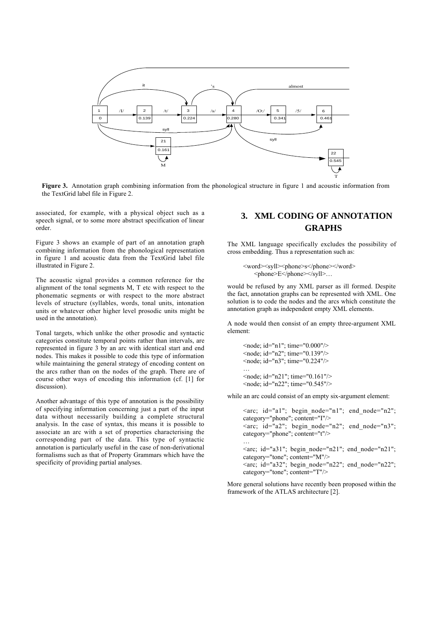

**Figure 3.** Annotation graph combining information from the phonological structure in figure 1 and acoustic information from the TextGrid label file in Figure 2.

associated, for example, with a physical object such as a speech signal, or to some more abstract specification of linear order.

Figure 3 shows an example of part of an annotation graph combining information from the phonological representation in figure 1 and acoustic data from the TextGrid label file illustrated in Figure 2.

The acoustic signal provides a common reference for the alignment of the tonal segments M, T etc with respect to the phonematic segments or with respect to the more abstract levels of structure (syllables, words, tonal units, intonation units or whatever other higher level prosodic units might be used in the annotation).

Tonal targets, which unlike the other prosodic and syntactic categories constitute temporal points rather than intervals, are represented in figure 3 by an arc with identical start and end nodes. This makes it possible to code this type of information while maintaining the general strategy of encoding content on the arcs rather than on the nodes of the graph. There are of course other ways of encoding this information (cf. [1] for discussion).

Another advantage of this type of annotation is the possibility of specifying information concerning just a part of the input data without necessarily building a complete structural analysis. In the case of syntax, this means it is possible to associate an arc with a set of properties characterising the corresponding part of the data. This type of syntactic annotation is particularly useful in the case of non-derivational formalisms such as that of Property Grammars which have the specificity of providing partial analyses.

# **3. XML CODING OF ANNOTATION GRAPHS**

The XML language specifically excludes the possibility of cross embedding. Thus a representation such as:

<word><syll><phone>s</phone></word> <phone>E</phone></syll>…

would be refused by any XML parser as ill formed. Despite the fact, annotation graphs can be represented with XML. One solution is to code the nodes and the arcs which constitute the annotation graph as independent empty XML elements.

A node would then consist of an empty three-argument XML element:

```
<node; id="n1"; time="0.000"/>
<node; id="n2"; time="0.139"/>
<node; id="n3"; time="0.224"/>
…
<node; id="n21"; time="0.161"/>
<node; id="n22"; time="0.545"/>
```
while an arc could consist of an empty six-argument element:

```
\langlearc; id="a1"; begin node="n1"; end node="n2";
category="phone"; content="I"/>
\langlearc; id="a2"; begin node="n2"; end node="n3";
category="phone"; content="t"/>
…
<arc; id="a31"; begin_node="n21"; end_node="n21";
category="tone"; content="M"/>
\langlearc; id="a32"; begin node="n22"; end node="n22";
category="tone"; content="T"/>
```
More general solutions have recently been proposed within the framework of the ATLAS architecture [2].